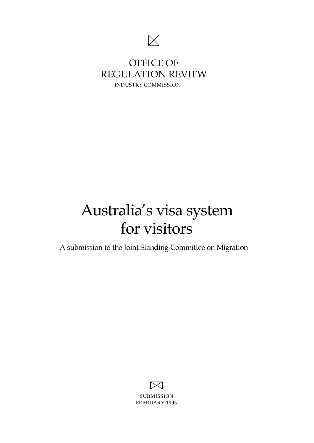

# **OFFICE OF REGULATION REVIEW INDUSTRY COMMISSION**

# Australia's visa system for visitors

A submission to the Joint Standing Committee on Migration

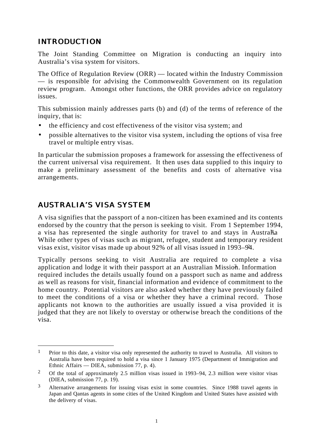#### *INTRODUCTION*

The Joint Standing Committee on Migration is conducting an inquiry into Australia's visa system for visitors.

The Office of Regulation Review (ORR) — located within the Industry Commission — is responsible for advising the Commonwealth Government on its regulation review program. Amongst other functions, the ORR provides advice on regulatory issues.

This submission mainly addresses parts (b) and (d) of the terms of reference of the inquiry, that is:

- the efficiency and cost effectiveness of the visitor visa system; and
- possible alternatives to the visitor visa system, including the options of visa free travel or multiple entry visas.

In particular the submission proposes a framework for assessing the effectiveness of the current universal visa requirement. It then uses data supplied to this inquiry to make a preliminary assessment of the benefits and costs of alternative visa arrangements.

# *AUSTRALIA'S VISA SYSTEM*

 $\overline{a}$ 

A visa signifies that the passport of a non-citizen has been examined and its contents endorsed by the country that the person is seeking to visit. From 1 September 1994, a visa has represented the single authority for travel to and stays in Australia. While other types of visas such as migrant, refugee, student and temporary resident visas exist, visitor visas made up about 92% of all visas issued in 1993–94. 2

Typically persons seeking to visit Australia are required to complete a visa application and lodge it with their passport at an Australian Mission. Information required includes the details usually found on a passport such as name and address as well as reasons for visit, financial information and evidence of commitment to the home country. Potential visitors are also asked whether they have previously failed to meet the conditions of a visa or whether they have a criminal record. Those applicants not known to the authorities are usually issued a visa provided it is judged that they are not likely to overstay or otherwise breach the conditions of the visa.

<sup>&</sup>lt;sup>1</sup> Prior to this date, a visitor visa only represented the authority to travel to Australia. All visitors to Australia have been required to hold a visa since 1 January 1975 (Department of Immigration and Ethnic Affairs — DIEA, submission 77, p. 4).

<sup>&</sup>lt;sup>2</sup> Of the total of approximately 2.5 million visas issued in 1993–94, 2.3 million were visitor visas (DIEA, submission 77, p. 19).

<sup>&</sup>lt;sup>3</sup> Alternative arrangements for issuing visas exist in some countries. Since 1988 travel agents in Japan and Qantas agents in some cities of the United Kingdom and United States have assisted with the delivery of visas.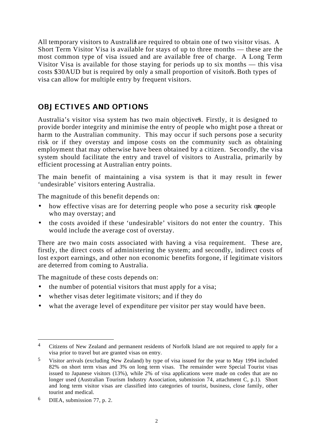All temporary visitors to Australia are required to obtain one of two visitor visas. A Short Term Visitor Visa is available for stays of up to three months — these are the most common type of visa issued and are available free of charge. A Long Term Visitor Visa is available for those staying for periods up to six months — this visa costs \$30AUD but is required by only a small proportion of visitors. Both types of visa can allow for multiple entry by frequent visitors.

#### *OBJECTIVES AND OPTIONS*

Australia's visitor visa system has two main objectives. Firstly, it is designed to provide border integrity and minimise the entry of people who might pose a threat or harm to the Australian community. This may occur if such persons pose a security risk or if they overstay and impose costs on the community such as obtaining employment that may otherwise have been obtained by a citizen. Secondly, the visa system should facilitate the entry and travel of visitors to Australia, primarily by efficient processing at Australian entry points.

The main benefit of maintaining a visa system is that it may result in fewer 'undesirable' visitors entering Australia.

The magnitude of this benefit depends on:

- how effective visas are for deterring people who pose a security risk or people who may overstay; and
- the costs avoided if these 'undesirable' visitors do not enter the country. This would include the average cost of overstay.

There are two main costs associated with having a visa requirement. These are, firstly, the direct costs of administering the system; and secondly, indirect costs of lost export earnings, and other non economic benefits forgone, if legitimate visitors are deterred from coming to Australia.

The magnitude of these costs depends on:

- the number of potential visitors that must apply for a visa;
- whether visas deter legitimate visitors; and if they do
- what the average level of expenditure per visitor per stay would have been.

<sup>&</sup>lt;sup>4</sup> Citizens of New Zealand and permanent residents of Norfolk Island are not required to apply for a visa prior to travel but are granted visas on entry.

<sup>5</sup> Visitor arrivals (excluding New Zealand) by type of visa issued for the year to May 1994 included 82% on short term visas and 3% on long term visas. The remainder were Special Tourist visas issued to Japanese visitors (13%), while 2% of visa applications were made on codes that are no longer used (Australian Tourism Industry Association, submission 74, attachment C, p.1). Short and long term visitor visas are classified into categories of tourist, business, close family, other tourist and medical.

<sup>6</sup> DIEA, submission 77, p. 2.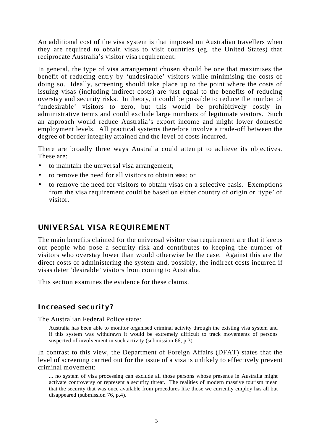An additional cost of the visa system is that imposed on Australian travellers when they are required to obtain visas to visit countries (eg. the United States) that reciprocate Australia's visitor visa requirement.

In general, the type of visa arrangement chosen should be one that maximises the benefit of reducing entry by 'undesirable' visitors while minimising the costs of doing so. Ideally, screening should take place up to the point where the costs of issuing visas (including indirect costs) are just equal to the benefits of reducing overstay and security risks. In theory, it could be possible to reduce the number of 'undesirable' visitors to zero, but this would be prohibitively costly in administrative terms and could exclude large numbers of legitimate visitors. Such an approach would reduce Australia's export income and might lower domestic employment levels. All practical systems therefore involve a trade-off between the degree of border integrity attained and the level of costs incurred.

There are broadly three ways Australia could attempt to achieve its objectives. These are:

- to maintain the universal visa arrangement;
- to remove the need for all visitors to obtain vias; or
- to remove the need for visitors to obtain visas on a selective basis. Exemptions from the visa requirement could be based on either country of origin or 'type' of visitor.

#### *UNIVERSAL VISA REQUIREMENT*

The main benefits claimed for the universal visitor visa requirement are that it keeps out people who pose a security risk and contributes to keeping the number of visitors who overstay lower than would otherwise be the case. Against this are the direct costs of administering the system and, possibly, the indirect costs incurred if visas deter 'desirable' visitors from coming to Australia.

This section examines the evidence for these claims.

#### *Increased security?*

The Australian Federal Police state:

Australia has been able to monitor organised criminal activity through the existing visa system and if this system was withdrawn it would be extremely difficult to track movements of persons suspected of involvement in such activity (submission 66, p.3).

In contrast to this view, the Department of Foreign Affairs (DFAT) states that the level of screening carried out for the issue of a visa is unlikely to effectively prevent criminal movement:

... no system of visa processing can exclude all those persons whose presence in Australia might activate controversy or represent a security threat. The realities of modern massive tourism mean that the security that was once available from procedures like those we currently employ has all but disappeared (submission 76, p.4).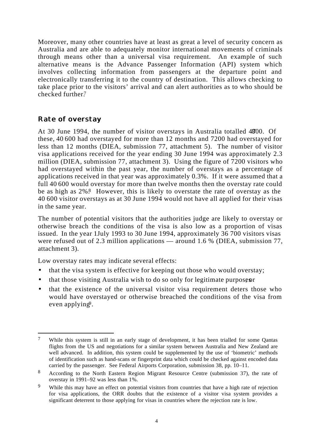Moreover, many other countries have at least as great a level of security concern as Australia and are able to adequately monitor international movements of criminals through means other than a universal visa requirement. An example of such alternative means is the Advance Passenger Information (API) system which involves collecting information from passengers at the departure point and electronically transferring it to the country of destination. This allows checking to take place prior to the visitors' arrival and can alert authorities as to who should be checked further.7

#### *Rate of overstay*

At 30 June 1994, the number of visitor overstays in Australia totalled 4800. Of these, 40 600 had overstayed for more than 12 months and 7200 had overstayed for less than 12 months (DIEA, submission 77, attachment 5). The number of visitor visa applications received for the year ending 30 June 1994 was approximately 2.3 million (DIEA, submission 77, attachment 3). Using the figure of 7200 visitors who had overstayed within the past year, the number of overstays as a percentage of applications received in that year was approximately 0.3%. If it were assumed that a full 40 600 would overstay for more than twelve months then the overstay rate could be as high as  $2\%$ <sup>8</sup>. However, this is likely to overstate the rate of overstay as the 40 600 visitor overstays as at 30 June 1994 would not have all applied for their visas in the same year.

The number of potential visitors that the authorities judge are likely to overstay or otherwise breach the conditions of the visa is also low as a proportion of visas issued. In the year 1 July 1993 to 30 June 1994, approximately  $36700$  visitors visas were refused out of 2.3 million applications — around 1.6 % (DIEA, submission 77, attachment 3).

Low overstay rates may indicate several effects:

- that the visa system is effective for keeping out those who would overstay;
- that those visiting Australia wish to do so only for legitimate purposes  $\mathbf{r}$
- that the existence of the universal visitor visa requirement deters those who would have overstayed or otherwise breached the conditions of the visa from even applying9.

 $\overline{a}$ 7 While this system is still in an early stage of development, it has been trialled for some Qantas flights from the US and negotiations for a similar system between Australia and New Zealand are well advanced. In addition, this system could be supplemented by the use of 'biometric' methods of identification such as hand-scans or fingerprint data which could be checked against encoded data carried by the passenger. See Federal Airports Corporation, submission 38, pp. 10–11.

<sup>8</sup> According to the North Eastern Region Migrant Resource Centre (submission 37), the rate of overstay in 1991–92 was less than 1%.

<sup>&</sup>lt;sup>9</sup> While this may have an effect on potential visitors from countries that have a high rate of rejection for visa applications, the ORR doubts that the existence of a visitor visa system provides a significant deterrent to those applying for visas in countries where the rejection rate is low.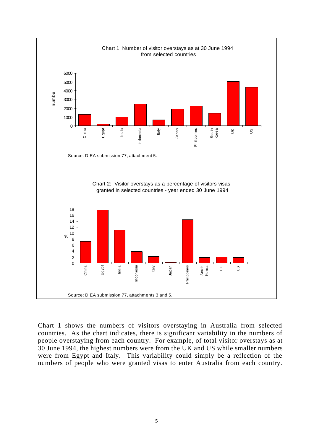

Chart 1 shows the numbers of visitors overstaying in Australia from selected countries. As the chart indicates, there is significant variability in the numbers of people overstaying from each country. For example, of total visitor overstays as at 30 June 1994, the highest numbers were from the UK and US while smaller numbers were from Egypt and Italy. This variability could simply be a reflection of the numbers of people who were granted visas to enter Australia from each country.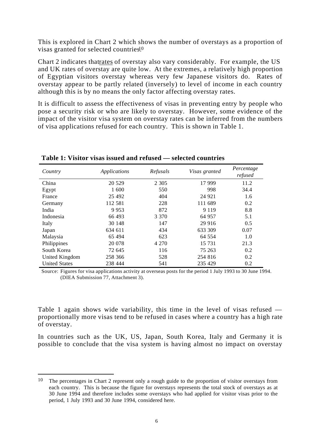This is explored in Chart 2 which shows the number of overstays as a proportion of visas granted for selected countries<sup>10</sup>

Chart 2 indicates that rates of overstay also vary considerably. For example, the US and UK rates of overstay are quite low. At the extremes, a relatively high proportion of Egyptian visitors overstay whereas very few Japanese visitors do. Rates of overstay appear to be partly related (inversely) to level of income in each country although this is by no means the only factor affecting overstay rates.

It is difficult to assess the effectiveness of visas in preventing entry by people who pose a security risk or who are likely to overstay. However, some evidence of the impact of the visitor visa system on overstay rates can be inferred from the numbers of visa applications refused for each country. This is shown in Table 1.

| Country              | Applications | Refusals | Visas granted | Percentage<br>refused |
|----------------------|--------------|----------|---------------|-----------------------|
| China                | 20 5 29      | 2 3 0 5  | 17 999        | 11.2                  |
| Egypt                | 1 600        | 550      | 998           | 34.4                  |
| France               | 25 4 92      | 404      | 24 9 21       | 1.6                   |
| Germany              | 112 581      | 228      | 111 689       | 0.2                   |
| India                | 9953         | 872      | 9 1 1 9       | 8.8                   |
| Indonesia            | 66 493       | 3 3 7 0  | 64 957        | 5.1                   |
| Italy                | 30 148       | 147      | 29 916        | 0.5                   |
| Japan                | 634 611      | 434      | 633 309       | 0.07                  |
| Malaysia             | 65 494       | 623      | 64 554        | 1.0                   |
| Philippines          | 20 078       | 4 2 7 0  | 15 731        | 21.3                  |
| South Korea          | 72 645       | 116      | 75 263        | 0.2                   |
| United Kingdom       | 258 366      | 528      | 254 816       | 0.2                   |
| <b>United States</b> | 238 444      | 541      | 235 429       | 0.2                   |

**Table 1: Visitor visas issued and refused — selected countries**

Source: Figures for visa applications activity at overseas posts for the period 1 July 1993 to 30 June 1994. (DIEA Submission 77, Attachment 3).

Table 1 again shows wide variability, this time in the level of visas refused proportionally more visas tend to be refused in cases where a country has a high rate of overstay.

In countries such as the UK, US, Japan, South Korea, Italy and Germany it is possible to conclude that the visa system is having almost no impact on overstay

<sup>10</sup> The percentages in Chart 2 represent only a rough guide to the proportion of visitor overstays from each country. This is because the figure for overstays represents the total stock of overstays as at 30 June 1994 and therefore includes some overstays who had applied for visitor visas prior to the period, 1 July 1993 and 30 June 1994, considered here.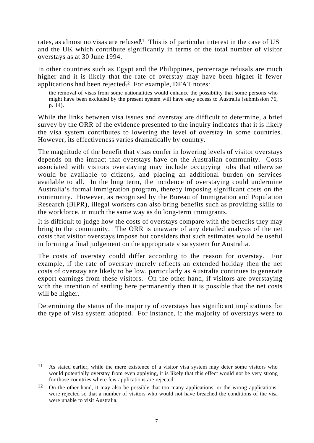rates, as almost no visas are refused<sup>[1]</sup> This is of particular interest in the case of US and the UK which contribute significantly in terms of the total number of visitor overstays as at 30 June 1994.

In other countries such as Egypt and the Philippines, percentage refusals are much higher and it is likely that the rate of overstay may have been higher if fewer applications had been rejected<sup>12</sup> For example, DFAT notes:

the removal of visas from some nationalities would enhance the possibility that some persons who might have been excluded by the present system will have easy access to Australia (submission 76, p. 14).

While the links between visa issues and overstay are difficult to determine, a brief survey by the ORR of the evidence presented to the inquiry indicates that it is likely the visa system contributes to lowering the level of overstay in some countries. However, its effectiveness varies dramatically by country.

The magnitude of the benefit that visas confer in lowering levels of visitor overstays depends on the impact that overstays have on the Australian community. Costs associated with visitors overstaying may include occupying jobs that otherwise would be available to citizens, and placing an additional burden on services available to all. In the long term, the incidence of overstaying could undermine Australia's formal immigration program, thereby imposing significant costs on the community. However, as recognised by the Bureau of Immigration and Population Research (BIPR), illegal workers can also bring benefits such as providing skills to the workforce, in much the same way as do long-term immigrants.

It is difficult to judge how the costs of overstays compare with the benefits they may bring to the community. The ORR is unaware of any detailed analysis of the net costs that visitor overstays impose but considers that such estimates would be useful in forming a final judgement on the appropriate visa system for Australia.

The costs of overstay could differ according to the reason for overstay. For example, if the rate of overstay merely reflects an extended holiday then the net costs of overstay are likely to be low, particularly as Australia continues to generate export earnings from these visitors. On the other hand, if visitors are overstaying with the intention of settling here permanently then it is possible that the net costs will be higher.

Determining the status of the majority of overstays has significant implications for the type of visa system adopted. For instance, if the majority of overstays were to

<sup>11</sup> As stated earlier, while the mere existence of a visitor visa system may deter some visitors who would potentially overstay from even applying, it is likely that this effect would not be very strong for those countries where few applications are rejected.

<sup>&</sup>lt;sup>12</sup> On the other hand, it may also be possible that too many applications, or the wrong applications, were rejected so that a number of visitors who would not have breached the conditions of the visa were unable to visit Australia.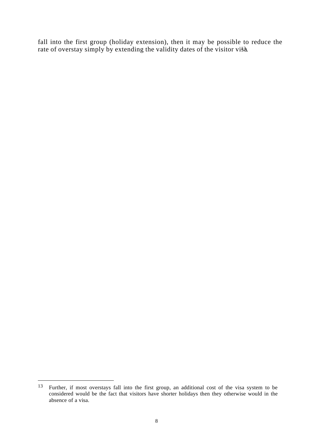fall into the first group (holiday extension), then it may be possible to reduce the rate of overstay simply by extending the validity dates of the visitor visa.

<sup>13</sup> Further, if most overstays fall into the first group, an additional cost of the visa system to be considered would be the fact that visitors have shorter holidays then they otherwise would in the absence of a visa.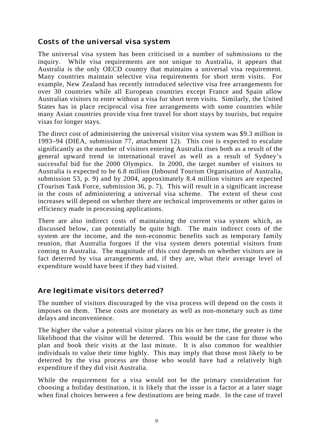#### *Costs of the universal visa system*

The universal visa system has been criticised in a number of submissions to the inquiry. While visa requirements are not unique to Australia, it appears that Australia is the only OECD country that maintains a universal visa requirement. Many countries maintain selective visa requirements for short term visits. For example, New Zealand has recently introduced selective visa free arrangements for over 30 countries while all European countries except France and Spain allow Australian visitors to enter without a visa for short term visits. Similarly, the United States has in place reciprocal visa free arrangements with some countries while many Asian countries provide visa free travel for short stays by tourists, but require visas for longer stays.

The direct cost of administering the universal visitor visa system was \$9.3 million in 1993–94 (DIEA, submission 77, attachment 12). This cost is expected to escalate significantly as the number of visitors entering Australia rises both as a result of the general upward trend in international travel as well as a result of Sydney's successful bid for the 2000 Olympics. In 2000, the target number of visitors to Australia is expected to be 6.8 million (Inbound Tourism Organisation of Australia, submission 53, p. 9) and by 2004, approximately 8.4 million visitors are expected (Tourism Task Force, submission 36, p. 7). This will result in a significant increase in the costs of administering a universal visa scheme. The extent of these cost increases will depend on whether there are technical improvements or other gains in efficiency made in processing applications.

There are also indirect costs of maintaining the current visa system which, as discussed below, can potentially be quite high. The main indirect costs of the system are the income, and the non-economic benefits such as temporary family reunion, that Australia forgoes if the visa system deters potential visitors from coming to Australia. The magnitude of this cost depends on whether visitors are in fact deterred by visa arrangements and, if they are, what their average level of expenditure would have been if they had visited.

# *Are legitimate visitors deterred?*

The number of visitors discouraged by the visa process will depend on the costs it imposes on them. These costs are monetary as well as non-monetary such as time delays and inconvenience.

The higher the value a potential visitor places on his or her time, the greater is the likelihood that the visitor will be deterred. This would be the case for those who plan and book their visits at the last minute. It is also common for wealthier individuals to value their time highly. This may imply that those most likely to be deterred by the visa process are those who would have had a relatively high expenditure if they did visit Australia.

While the requirement for a visa would not be the primary consideration for choosing a holiday destination, it is likely that the issue is a factor at a later stage when final choices between a few destinations are being made. In the case of travel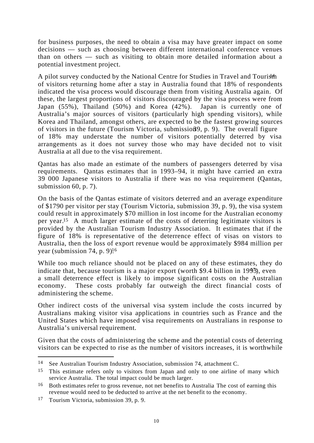for business purposes, the need to obtain a visa may have greater impact on some decisions — such as choosing between different international conference venues than on others — such as visiting to obtain more detailed information about a potential investment project.

A pilot survey conducted by the National Centre for Studies in Travel and Tourism of visitors returning home after a stay in Australia found that 18% of respondents indicated the visa process would discourage them from visiting Australia again. Of these, the largest proportions of visitors discouraged by the visa process were from Japan (55%), Thailand (50%) and Korea (42%). Japan is currently one of Australia's major sources of visitors (particularly high spending visitors), while Korea and Thailand, amongst others, are expected to be the fastest growing sources of visitors in the future (Tourism Victoria, submission  $9$ , p. 9). The overall figure of 18% may understate the number of visitors potentially deterred by visa arrangements as it does not survey those who may have decided not to visit Australia at all due to the visa requirement.

Qantas has also made an estimate of the numbers of passengers deterred by visa requirements. Qantas estimates that in 1993–94, it might have carried an extra 39 000 Japanese visitors to Australia if there was no visa requirement (Qantas, submission 60, p. 7).

On the basis of the Qantas estimate of visitors deterred and an average expenditure of \$1790 per visitor per stay (Tourism Victoria, submission 39, p. 9), the visa system could result in approximately \$70 million in lost income for the Australian economy per year.15 A much larger estimate of the costs of deterring legitimate visitors is provided by the Australian Tourism Industry Association. It estimates that if the figure of 18% is representative of the deterrence effect of visas on vistors to Australia, then the loss of export revenue would be approximately \$984 million per year (submission 74, p. 9) $16$ 

While too much reliance should not be placed on any of these estimates, they do indicate that, because tourism is a major export (worth  $$9.4$  billion in 1993), even a small deterrence effect is likely to impose significant costs on the Australian economy. These costs probably far outweigh the direct financial costs of administering the scheme.

Other indirect costs of the universal visa system include the costs incurred by Australians making visitor visa applications in countries such as France and the United States which have imposed visa requirements on Australians in response to Australia's universal requirement.

Given that the costs of administering the scheme and the potential costs of deterring visitors can be expected to rise as the number of visitors increases, it is worthwhile

<sup>14</sup> See Australian Tourism Industry Association, submission 74, attachment C.

<sup>&</sup>lt;sup>15</sup> This estimate refers only to visitors from Japan and only to one airline of many which service Australia. The total impact could be much larger.

<sup>&</sup>lt;sup>16</sup> Both estimates refer to gross revenue, not net benefits to Australia. The cost of earning this revenue would need to be deducted to arrive at the net benefit to the economy.

<sup>17</sup> Tourism Victoria, submission 39, p. 9.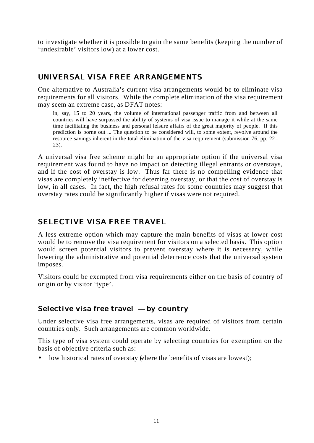to investigate whether it is possible to gain the same benefits (keeping the number of 'undesirable' visitors low) at a lower cost.

#### *UNIVERSAL VISA FREE ARRANGEMENTS*

One alternative to Australia's current visa arrangements would be to eliminate visa requirements for all visitors. While the complete elimination of the visa requirement may seem an extreme case, as DFAT notes:

in, say, 15 to 20 years, the volume of international passenger traffic from and between all countries will have surpassed the ability of systems of visa issue to manage it while at the same time facilitating the business and personal leisure affairs of the great majority of people. If this prediction is borne out ... The question to be considered will, to some extent, revolve around the resource savings inherent in the total elimination of the visa requirement (submission 76, pp. 22– 23).

A universal visa free scheme might be an appropriate option if the universal visa requirement was found to have no impact on detecting illegal entrants or overstays, and if the cost of overstay is low. Thus far there is no compelling evidence that visas are completely ineffective for deterring overstay, or that the cost of overstay is low, in all cases. In fact, the high refusal rates for some countries may suggest that overstay rates could be significantly higher if visas were not required.

# *SELECTIVE VISA FREE TRAVEL*

A less extreme option which may capture the main benefits of visas at lower cost would be to remove the visa requirement for visitors on a selected basis. This option would screen potential visitors to prevent overstay where it is necessary, while lowering the administrative and potential deterrence costs that the universal system imposes.

Visitors could be exempted from visa requirements either on the basis of country of origin or by visitor 'type'.

# *Selective visa free travel* **—** *by country*

Under selective visa free arrangements, visas are required of visitors from certain countries only. Such arrangements are common worldwide.

This type of visa system could operate by selecting countries for exemption on the basis of objective criteria such as:

• low historical rates of overstay where the benefits of visas are lowest);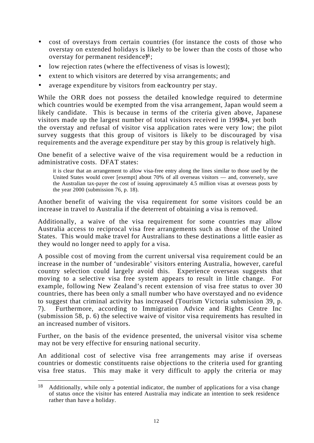- cost of overstays from certain countries (for instance the costs of those who overstay on extended holidays is likely to be lower than the costs of those who overstay for permanent residence $\frac{1}{8}$ ;
- low rejection rates (where the effectiveness of visas is lowest);
- extent to which visitors are deterred by visa arrangements; and
- average expenditure by visitors from each country per stay.

While the ORR does not possess the detailed knowledge required to determine which countries would be exempted from the visa arrangement, Japan would seem a likely candidate. This is because in terms of the criteria given above, Japanese visitors made up the largest number of total visitors received in 199394, yet both the overstay and refusal of visitor visa application rates were very low; the pilot survey suggests that this group of visitors is likely to be discouraged by visa requirements and the average expenditure per stay by this group is relatively high.

One benefit of a selective waive of the visa requirement would be a reduction in administrative costs. DFAT states:

it is clear that an arrangement to allow visa-free entry along the lines similar to those used by the United States would cover [exempt] about 70% of all overseas visitors — and, conversely, save the Australian tax-payer the cost of issuing approximately 4.5 million visas at overseas posts by the year 2000 (submission 76, p. 18).

Another benefit of waiving the visa requirement for some visitors could be an increase in travel to Australia if the deterrent of obtaining a visa is removed.

Additionally, a waive of the visa requirement for some countries may allow Australia access to reciprocal visa free arrangements such as those of the United States. This would make travel for Australians to these destinations a little easier as they would no longer need to apply for a visa.

A possible cost of moving from the current universal visa requirement could be an increase in the number of 'undesirable' visitors entering Australia, however, careful country selection could largely avoid this. Experience overseas suggests that moving to a selective visa free system appears to result in little change. For example, following New Zealand's recent extension of visa free status to over 30 countries, there has been only a small number who have overstayed and no evidence to suggest that criminal activity has increased (Tourism Victoria submission 39, p. 7). Furthermore, according to Immigration Advice and Rights Centre Inc (submission 58, p. 6) the selective waive of visitor visa requirements has resulted in an increased number of visitors.

Further, on the basis of the evidence presented, the universal visitor visa scheme may not be very effective for ensuring national security.

An additional cost of selective visa free arrangements may arise if overseas countries or domestic constituents raise objections to the criteria used for granting visa free status. This may make it very difficult to apply the criteria or may

<sup>18</sup> Additionally, while only a potential indicator, the number of applications for a visa change of status once the visitor has entered Australia may indicate an intention to seek residence rather than have a holiday.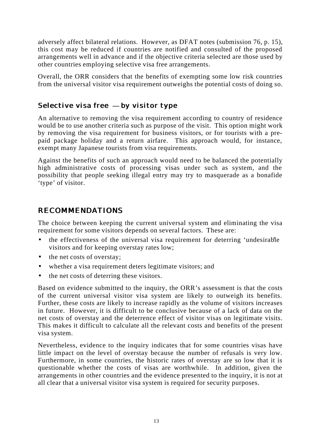adversely affect bilateral relations. However, as DFAT notes (submission 76, p. 15), this cost may be reduced if countries are notified and consulted of the proposed arrangements well in advance and if the objective criteria selected are those used by other countries employing selective visa free arrangements.

Overall, the ORR considers that the benefits of exempting some low risk countries from the universal visitor visa requirement outweighs the potential costs of doing so.

#### *Selective visa free* **—** *by visitor type*

An alternative to removing the visa requirement according to country of residence would be to use another criteria such as purpose of the visit. This option might work by removing the visa requirement for business visitors, or for tourists with a prepaid package holiday and a return airfare. This approach would, for instance, exempt many Japanese tourists from visa requirements.

Against the benefits of such an approach would need to be balanced the potentially high administrative costs of processing visas under such as system, and the possibility that people seeking illegal entry may try to masquerade as a bonafide 'type' of visitor.

#### *RECOMMENDATIONS*

The choice between keeping the current universal system and eliminating the visa requirement for some visitors depends on several factors. These are:

- the effectiveness of the universal visa requirement for deterring 'undesirable' visitors and for keeping overstay rates low;
- the net costs of overstay;
- whether a visa requirement deters legitimate visitors; and
- the net costs of deterring these visitors.

Based on evidence submitted to the inquiry, the ORR's assessment is that the costs of the current universal visitor visa system are likely to outweigh its benefits. Further, these costs are likely to increase rapidly as the volume of visitors increases in future. However, it is difficult to be conclusive because of a lack of data on the net costs of overstay and the deterrence effect of visitor visas on legitimate visits. This makes it difficult to calculate all the relevant costs and benefits of the present visa system.

Nevertheless, evidence to the inquiry indicates that for some countries visas have little impact on the level of overstay because the number of refusals is very low. Furthermore, in some countries, the historic rates of overstay are so low that it is questionable whether the costs of visas are worthwhile. In addition, given the arrangements in other countries and the evidence presented to the inquiry, it is not at all clear that a universal visitor visa system is required for security purposes.